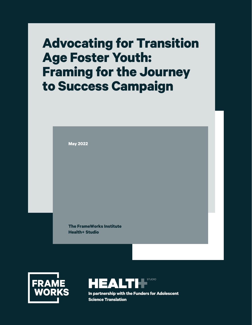# **Advocating for Transition Age Foster Youth: Framing for the Journey to Success Campaign**

**May 2022**

**The FrameWorks Institute Health+ Studio**





**In partnership with the Funders for Adolescent Science Translation**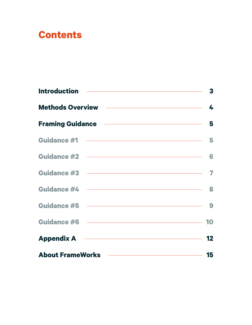# **Contents**

| Methods Overview <b>Methods</b> Overview 14   |  |
|-----------------------------------------------|--|
| Framing Guidance <b>Framing</b> 5             |  |
|                                               |  |
|                                               |  |
|                                               |  |
|                                               |  |
| Guidance #5 (2008)                            |  |
|                                               |  |
| Appendix A 22                                 |  |
| About FrameWorks <u>- and the state of</u> 15 |  |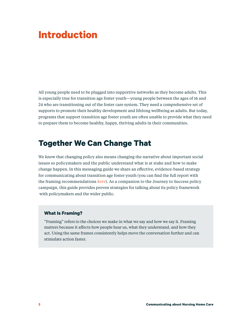# <span id="page-2-0"></span>**Introduction**

All young people need to be plugged into supportive networks as they become adults. This is especially true for transition age foster youth—young people between the ages of 16 and 24 who are transitioning out of the foster care system. They need a comprehensive set of supports to promote their healthy development and lifelong wellbeing as adults. But today, programs that support transition age foster youth are often unable to provide what they need to prepare them to become healthy, happy, thriving adults in their communities.

## **Together We Can Change That**

We know that changing policy also means changing the narrative about important social issues so policymakers and the public understand what is at stake and how to make change happen. In this messaging guide we share an effective, evidence-based strategy for communicating about transition age foster youth (you can find the full report with the framing recommendations *[here](https://www.frameworksinstitute.org/publication/advancing-wellbeing-and-expanding-opportunities-reframing-transition-age-foster-youth/)*). As a companion to the Journey to Success policy campaign, this guide provides proven strategies for talking about its policy framework with policymakers and the wider public.

### **What Is Framing?**

"Framing" refers to the choices we make in what we say and how we say it. Framing matters because it affects how people hear us, what they understand, and how they act. Using the same frames consistently helps move the conversation further and can stimulate action faster.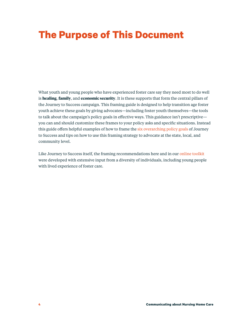# <span id="page-3-0"></span>**The Purpose of This Document**

What youth and young people who have experienced foster care say they need most to do well is **healing**, **family**, and **economic security**. It is these supports that form the central pillars of the Journey to Success campaign. This framing guide is designed to help transition age foster youth achieve these goals by giving advocates—including foster youth themselves—the tools to talk about the campaign's policy goals in effective ways. This guidance isn't prescriptive you can and should customize these frames to your policy asks and specific situations. Instead this guide offers helpful examples of how to frame the [six overarching policy goals](https://www.journeytosuccess.org/the-pathway) of Journey to Success and tips on how to use this framing strategy to advocate at the state, local, and community level.

Like Journey to Success itself, the framing recommendations here and in our [online toolkit](https://www.frameworksinstitute.org/toolkit/reframing-transition-age-foster-youth/) were developed with extensive input from a diversity of individuals, including young people with lived experience of foster care.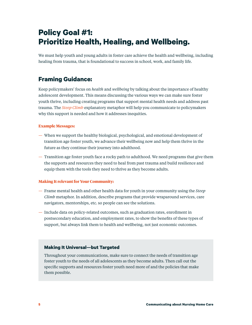# <span id="page-4-0"></span>**Policy Goal #1: Prioritize Health, Healing, and Wellbeing.**

We must help youth and young adults in foster care achieve the health and wellbeing, including healing from trauma, that is foundational to success in school, work, and family life.

### **Framing Guidance:**

Keep policymakers' focus on *health* and *wellbeing* by talking about the importance of healthy adolescent development. This means discussing the various ways we can make sure foster youth thrive, including creating programs that support mental health needs and address past trauma. The *[Steep Climb](https://www.frameworksinstitute.org/wp-content/uploads/2015/07/tay-toolkit-steepclimb-metaphorcard_FINAL.pdf)* explanatory metaphor will help you communicate to policymakers why this support is needed and how it addresses inequities.

#### **Example Messages:**

- When we support the healthy biological, psychological, and emotional development of transition age foster youth, we advance their wellbeing now and help them thrive in the future as they continue their journey into adulthood.
- Transition age foster youth face a rocky path to adulthood. We need programs that give them the supports and resources they need to heal from past trauma and build resilience and equip them with the tools they need to thrive as they become adults.

### **Making It relevant for Your Community:**

- Frame mental health and other health data for youth in your community using the *Steep Climb* metaphor. In addition, describe programs that provide wraparound services, care navigators, mentorships, etc. so people can see the solutions.
- Include data on policy-related outcomes, such as graduation rates, enrollment in postsecondary education, and employment rates, to show the benefits of these types of support, but always link them to health and wellbeing, not just economic outcomes.

### **Making It Universal—but Targeted**

Throughout your communications, make sure to connect the needs of transition age foster youth to the needs of all adolescents as they become adults. Then call out the specific supports and resources foster youth need more of and the policies that make them possible.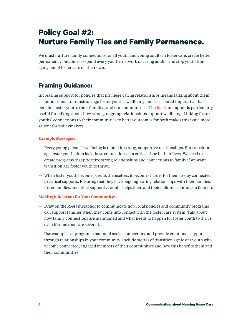# <span id="page-5-0"></span>**Policy Goal #2: Nurture Family Ties and Family Permanence.**

We must nurture family connections for all youth and young adults in foster care, create better permanency outcomes, expand every youth's network of caring adults, and stop youth from aging out of foster care on their own.

### **Framing Guidance:**

Increasing support for policies that privilege caring relationships means talking about them as foundational to transition age foster youths' wellbeing and as a shared imperative that benefits foster youth, their families, and our communities. The *[Roots](https://www.frameworksinstitute.org/wp-content/uploads/2020/05/searchinstitute-roots-to-success.pdf)* metaphor is particularly useful for talking about how strong, ongoing relationships support wellbeing. Linking foster youths' connections to their communities to better outcomes for both makes this issue more salient for policymakers.

### **Example Messages:**

- Every young person's wellbeing is rooted in strong, supportive relationships. But transition age foster youth often lack these connections at a critical time in their lives. We need to create programs that prioritize strong relationships and connections to family if we want transition age foster youth to thrive.
- When foster youth become parents themselves, it becomes harder for them to stay connected to critical supports. Ensuring that they have ongoing, caring relationships with their families, foster families, and other supportive adults helps them and their children continue to flourish.

### **Making It Relevant for Your Community:**

- Draw on the *Roots* metaphor to communicate how local policies and community programs can support families when they come into contact with the foster care system. Talk about how family connections are maintained and what needs to happen for foster youth to thrive even if some roots are severed.
- Use examples of programs that build social connections and provide emotional support through relationships in your community. Include stories of transition age foster youth who become connected, engaged members of their communities and how this benefits them and their communities.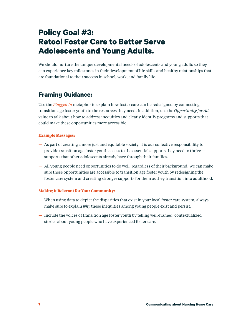## <span id="page-6-0"></span>**Policy Goal #3: Retool Foster Care to Better Serve Adolescents and Young Adults.**

We should nurture the unique developmental needs of adolescents and young adults so they can experience key milestones in their development of life skills and healthy relationships that are foundational to their success in school, work, and family life.

### **Framing Guidance:**

Use the *[Plugged In](https://www.frameworksinstitute.org/wp-content/uploads/2015/07/tay-toolkit-pluggedin-metaphorcard_FINAL.pdf)* metaphor to explain how foster care can be redesigned by connecting transition age foster youth to the resources they need. In addition, use the *Opportunity for All* value to talk about how to address inequities and clearly identify programs and supports that could make these opportunities more accessible.

### **Example Messages:**

- As part of creating a more just and equitable society, it is our collective responsibility to provide transition age foster youth access to the essential supports they need to thrive supports that other adolescents already have through their families.
- All young people need opportunities to do well, regardless of their background. We can make sure these opportunities are accessible to transition age foster youth by redesigning the foster care system and creating stronger supports for them as they transition into adulthood.

### **Making It Relevant for Your Community:**

- When using data to depict the disparities that exist in your local foster care system, always make sure to explain *why* these inequities among young people exist and persist.
- Include the voices of transition age foster youth by telling well-framed, contextualized stories about young people who have experienced foster care.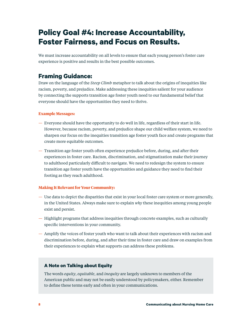## <span id="page-7-0"></span>**Policy Goal #4: Increase Accountability, Foster Fairness, and Focus on Results.**

We must increase accountability on all levels to ensure that each young person's foster care experience is positive and results in the best possible outcomes.

### **Framing Guidance:**

Draw on the language of the *Steep Climb* metaphor to talk about the origins of inequities like racism, poverty, and prejudice. Make addressing these inequities salient for your audience by connecting the supports transition age foster youth need to our fundamental belief that everyone should have the opportunities they need to thrive.

### **Example Messages:**

- Everyone should have the opportunity to do well in life, regardless of their start in life. However, because racism, poverty, and prejudice shape our child welfare system, we need to sharpen our focus on the inequities transition age foster youth face and create programs that create more equitable outcomes.
- Transition age foster youth often experience prejudice before, during, and after their experiences in foster care. Racism, discrimination, and stigmatization make their journey to adulthood particularly difficult to navigate. We need to redesign the system to ensure transition age foster youth have the opportunities and guidance they need to find their footing as they reach adulthood.

### **Making It Relevant for Your Community:**

- Use data to depict the disparities that exist in your local foster care system or more generally, in the United States. Always make sure to explain *why* these inequities among young people exist and persist.
- Highlight programs that address inequities through concrete examples, such as culturally specific interventions in your community.
- Amplify the voices of foster youth who want to talk about their experiences with racism and discrimination before, during, and after their time in foster care and draw on examples from their experiences to explain what supports can address these problems.

### **A Note on Talking about Equity**

The words *equity*, *equitable*, and *inequity* are largely unknown to members of the American public and may not be easily understood by policymakers, either. Remember to define these terms early and often in your communications.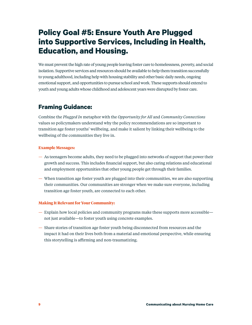## <span id="page-8-0"></span>**Policy Goal #5: Ensure Youth Are Plugged into Supportive Services, Including in Health, Education, and Housing.**

We must prevent the high rate of young people leaving foster care to homelessness, poverty, and social isolation. Supportive services and resources should be available to help them transition successfully to young adulthood, including help with housing stability and other basic daily needs, ongoing emotional support, and opportunities to pursue school and work. These supports should extend to youth and young adults whose childhood and adolescent years were disrupted by foster care.

### **Framing Guidance:**

Combine the *Plugged In* metaphor with the *Opportunity for All* and *Community Connections* values so policymakers understand why the policy recommendations are so important to transition age foster youths' wellbeing, and make it salient by linking their wellbeing to the wellbeing of the communities they live in.

### **Example Messages:**

- As teenagers become adults, they need to be plugged into networks of support that power their growth and success. This includes financial support, but also caring relations and educational and employment opportunities that other young people get through their families.
- When transition age foster youth are plugged into their communities, we are also supporting their communities. Our communities are stronger when we make sure everyone, including transition age foster youth, are connected to each other.

### **Making It Relevant for Your Community:**

- Explain how local policies and community programs make these supports more accessible not just available—to foster youth using concrete examples.
- Share stories of transition age foster youth being disconnected from resources and the impact it had on their lives both from a material and emotional perspective, while ensuring this storytelling is affirming and non-traumatizing.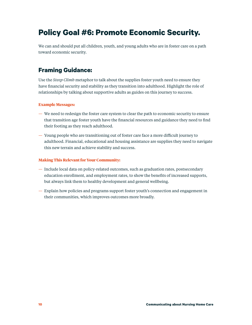## <span id="page-9-0"></span>**Policy Goal #6: Promote Economic Security.**

We can and should put all children, youth, and young adults who are in foster care on a path toward economic security.

### **Framing Guidance:**

Use the *Steep Climb* metaphor to talk about the supplies foster youth need to ensure they have financial security and stability as they transition into adulthood. Highlight the role of relationships by talking about supportive adults as guides on this journey to success.

### **Example Messages:**

- We need to redesign the foster care system to clear the path to economic security to ensure that transition age foster youth have the financial resources and guidance they need to find their footing as they reach adulthood.
- Young people who are transitioning out of foster care face a more difficult journey to adulthood. Financial, educational and housing assistance are supplies they need to navigate this new terrain and achieve stability and success.

#### **Making This Relevant for Your Community:**

- Include local data on policy-related outcomes, such as graduation rates, postsecondary education enrollment, and employment rates, to show the benefits of increased supports, but always link them to healthy development and general wellbeing.
- Explain how policies and programs support foster youth's connection and engagement in their communities, which improves outcomes more broadly.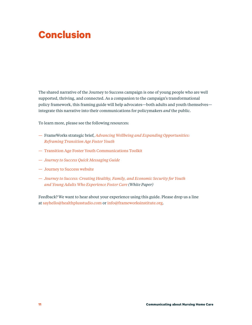# **Conclusion**

The shared narrative of the Journey to Success campaign is one of young people who are well supported, thriving, and connected. As a companion to the campaign's transformational policy framework, this framing guide will help advocates—both adults and youth themselves integrate this narrative into their communications for policymakers *and* the public.

To learn more, please see the following resources:

- FrameWorks strategic brief, *[Advancing Wellbeing and Expanding Opportunities:](https://www.frameworksinstitute.org/publication/advancing-wellbeing-and-expanding-opportunities-reframing-transition-age-foster-youth/)  [Reframing Transition Age Foster Youth](https://www.frameworksinstitute.org/publication/advancing-wellbeing-and-expanding-opportunities-reframing-transition-age-foster-youth/)*
- [Transition Age Foster Youth Communications Toolkit](https://www.frameworksinstitute.org/toolkit/reframing-transition-age-foster-youth/)
- *[Journey to Success Quick Messaging Guide](https://www.frameworksinstitute.org/publication/journey-to-success-campaign-quick-messaging-guide)*
- [Journey to Success website](https://www.journeytosuccess.org/)
- *[Journey to Success: Creating Healthy, Family, and Economic Security for Youth](https://www.journeytosuccess.org/resources-catalog/journey-to-success-white-paper)  [and Young Adults Who Experience Foster Care](https://www.journeytosuccess.org/resources-catalog/journey-to-success-white-paper) (White Paper)*

Feedback? We want to hear about your experience using this guide. Please drop us a line at [sayhello@healthplusstudio.com](mailto:sayhello%40healthplusstudio.com?subject=) or [info@frameworksinstitute.org](mailto:info%40frameworksinstitute.org?subject=).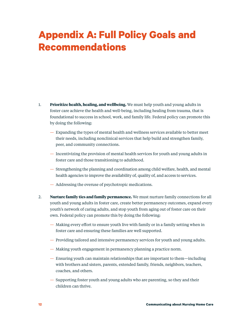# <span id="page-11-0"></span>**Appendix A: Full Policy Goals and Recommendations**

- 1. **Prioritize health, healing, and wellbeing.** We must help youth and young adults in foster care achieve the health and well-being, including healing from trauma, that is foundational to success in school, work, and family life. Federal policy can promote this by doing the following:
	- Expanding the types of mental health and wellness services available to better meet their needs, including nonclinical services that help build and strengthen family, peer, and community connections.
	- Incentivizing the provision of mental health services for youth and young adults in foster care and those transitioning to adulthood.
	- Strengthening the planning and coordination among child welfare, health, and mental health agencies to improve the availability of, quality of, and access to services.
	- Addressing the overuse of psychotropic medications.
- 2. **Nurture family ties and family permanence.** We must nurture family connections for all youth and young adults in foster care, create better permanency outcomes, expand every youth's network of caring adults, and stop youth from aging out of foster care on their own. Federal policy can promote this by doing the following:
	- Making every effort to ensure youth live with family or in a family setting when in foster care and ensuring these families are well supported.
	- Providing tailored and intensive permanency services for youth and young adults.
	- Making youth engagement in permanency planning a practice norm.
	- Ensuring youth can maintain relationships that are important to them—including with brothers and sisters, parents, extended family, friends, neighbors, teachers, coaches, and others.
	- Supporting foster youth and young adults who are parenting, so they and their children can thrive.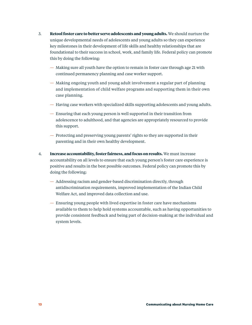- 3. **Retool foster care to better serve adolescents and young adults.** We should nurture the unique developmental needs of adolescents and young adults so they can experience key milestones in their development of life skills and healthy relationships that are foundational to their success in school, work, and family life. Federal policy can promote this by doing the following:
	- Making sure all youth have the option to remain in foster care through age 21 with continued permanency planning and case worker support.
	- Making ongoing youth and young adult involvement a regular part of planning and implementation of child welfare programs and supporting them in their own case planning.
	- Having case workers with specialized skills supporting adolescents and young adults.
	- Ensuring that each young person is well supported in their transition from adolescence to adulthood, and that agencies are appropriately resourced to provide this support.
	- Protecting and preserving young parents' rights so they are supported in their parenting and in their own healthy development.
- 4. **Increase accountability, foster fairness, and focus on results.** We must increase accountability on all levels to ensure that each young person's foster care experience is positive and results in the best possible outcomes. Federal policy can promote this by doing the following:
	- Addressing racism and gender-based discrimination directly, through antidiscrimination requirements, improved implementation of the Indian Child Welfare Act, and improved data collection and use.
	- Ensuring young people with lived expertise in foster care have mechanisms available to them to help hold systems accountable, such as having opportunities to provide consistent feedback and being part of decision-making at the individual and system levels.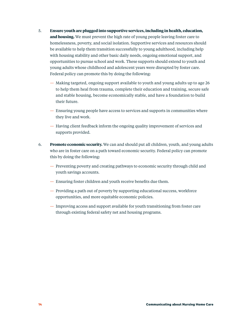- 5. **Ensure youth are plugged into supportive services, including in health, education, and housing.** We must prevent the high rate of young people leaving foster care to homelessness, poverty, and social isolation. Supportive services and resources should be available to help them transition successfully to young adulthood, including help with housing stability and other basic daily needs, ongoing emotional support, and opportunities to pursue school and work. These supports should extend to youth and young adults whose childhood and adolescent years were disrupted by foster care. Federal policy can promote this by doing the following:
	- Making targeted, ongoing support available to youth and young adults up to age 26 to help them heal from trauma, complete their education and training, secure safe and stable housing, become economically stable, and have a foundation to build their future.
	- Ensuring young people have access to services and supports in communities where they live and work.
	- Having client feedback inform the ongoing quality improvement of services and supports provided.
- 6. **Promote economic security.** We can and should put all children, youth, and young adults who are in foster care on a path toward economic security. Federal policy can promote this by doing the following:
	- Preventing poverty and creating pathways to economic security through child and youth savings accounts.
	- Ensuring foster children and youth receive benefits due them.
	- Providing a path out of poverty by supporting educational success, workforce opportunities, and more equitable economic policies.
	- Improving access and support available for youth transitioning from foster care through existing federal safety net and housing programs.

**14 Communicating about Nursing Home Care**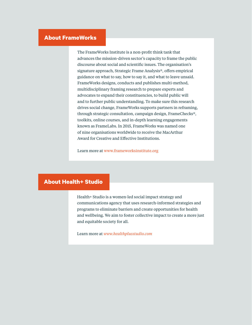### <span id="page-14-0"></span>**About FrameWorks**

The FrameWorks Institute is a non-profit think tank that advances the mission-driven sector's capacity to frame the public discourse about social and scientific issues. The organisation's signature approach, Strategic Frame Analysis®, offers empirical guidance on what to say, how to say it, and what to leave unsaid. FrameWorks designs, conducts and publishes multi-method, multidisciplinary framing research to prepare experts and advocates to expand their constituencies, to build public will and to further public understanding. To make sure this research drives social change, FrameWorks supports partners in reframing, through strategic consultation, campaign design, FrameChecks®, toolkits, online courses, and in-depth learning engagements known as FrameLabs. In 2015, FrameWorks was named one of nine organisations worldwide to receive the MacArthur Award for Creative and Effective Institutions.

Learn more at [www.frameworksinstitute.org](http://www.frameworksinstitute.org/)

### **About Health+ Studio**

Health+ Studio is a women-led social impact strategy and communications agency that uses research-informed strategies and programs to eliminate barriers and create opportunities for health and wellbeing. We aim to foster collective impact to create a more just and equitable society for all.

Learn more at *<www.healthplusstudio.com>*